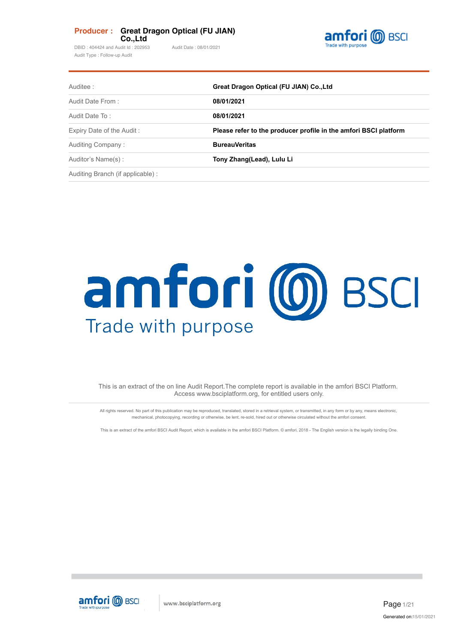### **Producer : Great Dragon Optical (FU JIAN) Co.,Ltd**

DBID : 404424 and Audit Id : 202953 Audit Date : 08/01/2021 Audit Type : Follow-up Audit



| Auditee:                          | Great Dragon Optical (FU JIAN) Co., Ltd                          |  |  |
|-----------------------------------|------------------------------------------------------------------|--|--|
| Audit Date From:                  | 08/01/2021                                                       |  |  |
| Audit Date To:                    | 08/01/2021                                                       |  |  |
| Expiry Date of the Audit:         | Please refer to the producer profile in the amfori BSCI platform |  |  |
| Auditing Company:                 | <b>BureauVeritas</b>                                             |  |  |
| Auditor's Name(s):                | Tony Zhang(Lead), Lulu Li                                        |  |  |
| Auditing Branch (if applicable) : |                                                                  |  |  |

# amfori (0) BSCI Trade with purpose

This is an extract of the on line Audit Report.The complete report is available in the amfori BSCI Platform. Access www.bsciplatform.org, for entitled users only.

All rights reserved. No part of this publication may be reproduced, translated, stored in a retrieval system, or transmitted, in any form or by any, means electronic, mechanical, photocopying, recording or otherwise, be lent, re-sold, hired out or otherwise circulated without the amfori consent.

This is an extract of the amfori BSCI Audit Report, which is available in the amfori BSCI Platform. © amfori, 2018 - The English version is the legally binding One.

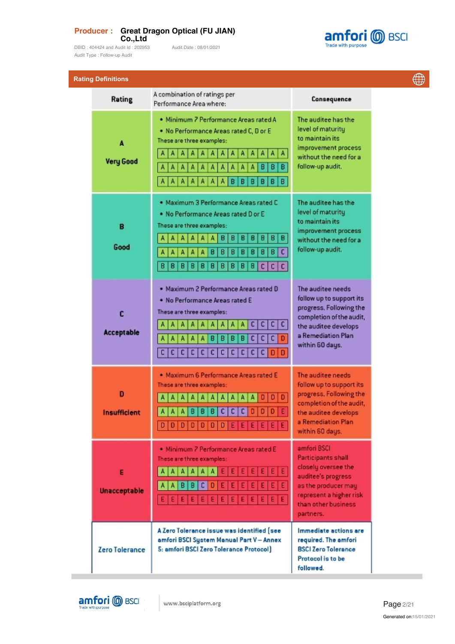### **Producer : Great Dragon Optical (FU JIAN) Co.,Ltd**

DBID : 404424 and Audit Id : 202953 Audit Date : 08/01/2021 Audit Type : Follow-up Audit



**Rating Definitions** 

| aung Denniuons           | A combination of ratings per                                                                                                                                                                                                                                                                                                    |                                                                                                                                                                             |
|--------------------------|---------------------------------------------------------------------------------------------------------------------------------------------------------------------------------------------------------------------------------------------------------------------------------------------------------------------------------|-----------------------------------------------------------------------------------------------------------------------------------------------------------------------------|
| Rating                   | Performance Area where:                                                                                                                                                                                                                                                                                                         | Consequence                                                                                                                                                                 |
| A<br><b>Very Good</b>    | · Minimum 7 Performance Areas rated A<br>. No Performance Areas rated C, D or E<br>These are three examples:<br>Α<br>A<br>А<br>Α<br>А<br>А<br>A<br>А<br>A<br>A<br>A<br>А<br>A<br>в<br>в<br>в<br>A<br>A<br>А<br>в<br>в<br>в<br>B<br>в<br>А<br>в                                                                                  | The auditee has the<br>level of maturity<br>to maintain its<br>improvement process<br>without the need for a<br>follow-up audit,                                            |
| в<br>Good                | . Maximum 3 Performance Areas rated C<br>. No Performance Areas rated D or E<br>These are three examples:<br>B<br>B<br>B<br>B<br>в<br>в<br>B<br>А<br>A<br>А<br>A<br>A<br>$\overline{\mathsf{c}}$<br>B<br>A<br>A<br>Δ<br>B<br>в<br>B<br>в<br>Θ<br>Α<br>Α<br>в<br>B<br>B<br>в<br>B<br>B<br>В<br>B<br>в<br>B<br>c<br>В<br>c  <br>c | The auditee has the<br>level of maturity<br>to maintain its<br>improvement process<br>without the need for a<br>follow-up audit.                                            |
| c<br><b>Acceptable</b>   | . Maximum 2 Performance Areas rated D<br>. No Performance Areas rated E<br>These are three examples:<br>c  <br>c<br>A<br>c<br>A<br> C <br>A<br>c<br>A<br>B<br>в<br>B<br>в<br>A<br>c<br>Α<br>$C$ $D$ $D$<br>c<br>c<br>$\overline{c}$  <br>c  <br> c <br> C <br>c <sub>1</sub><br>$\mathsf{c}\,\vert$<br>c<br>c                   | The auditee needs<br>follow up to support its<br>progress. Following the<br>completion of the audit,<br>the auditee develops<br>a Remediation Plan<br>within 60 days.       |
| D<br><b>Insufficient</b> | · Maximum 6 Performance Areas rated E<br>These are three examples:<br>$D   D   D   D   D   D   D   E   E   E   E   E   E   E$                                                                                                                                                                                                   | The auditee needs<br>follow up to support its<br>progress. Following the<br>completion of the audit,<br>the auditee develops<br>a Remediation Plan<br>within 60 days.       |
| E<br><b>Unacceptable</b> | · Minimum 7 Performance Areas rated E<br>These are three examples:<br>AAAAE<br>$E$ $E$ $E$ $E$ $E$ $E$ $E$<br>A   A<br>A<br>в<br>B<br>D<br>١A<br>c i<br>Ε                                                                                                                                                                       | amfori BSCI<br><b>Participants shall</b><br>closely oversee the<br>auditee's progress<br>as the producer may<br>represent a higher risk<br>than other business<br>partners. |
| <b>Zero Tolerance</b>    | A Zero Tolerance issue was identified (see<br>amfori BSCI System Manual Part V - Annex<br>5: amfori BSCI Zero Tolerance Protocol]                                                                                                                                                                                               | Immediate actions are<br>required. The amfori<br><b>BSCI Zero Tolerance</b><br>Protocol is to be<br>followed.                                                               |



**College**